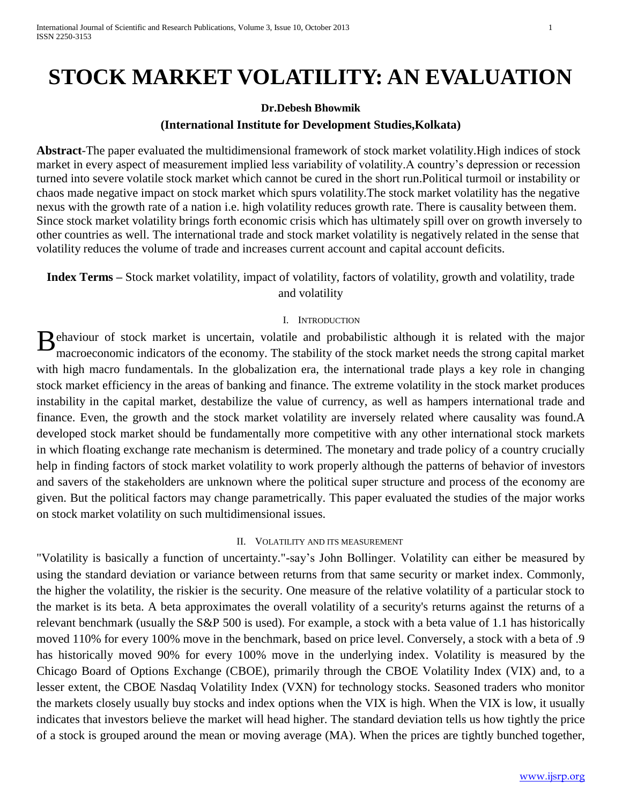# **STOCK MARKET VOLATILITY: AN EVALUATION**

### **Dr.Debesh Bhowmik**

# **(International Institute for Development Studies,Kolkata)**

**Abstract**-The paper evaluated the multidimensional framework of stock market volatility.High indices of stock market in every aspect of measurement implied less variability of volatility.A country's depression or recession turned into severe volatile stock market which cannot be cured in the short run.Political turmoil or instability or chaos made negative impact on stock market which spurs volatility.The stock market volatility has the negative nexus with the growth rate of a nation i.e. high volatility reduces growth rate. There is causality between them. Since stock market volatility brings forth economic crisis which has ultimately spill over on growth inversely to other countries as well. The international trade and stock market volatility is negatively related in the sense that volatility reduces the volume of trade and increases current account and capital account deficits.

**Index Terms –** Stock market volatility, impact of volatility, factors of volatility, growth and volatility, trade and volatility

#### I. INTRODUCTION

 $B$  ehaviour of stock market is uncertain, volatile and probabilistic although it is related with the major macroeconomic indicators of the economy. The stability of the stock market needs the strong capital market macroeconomic indicators of the economy. The stability of the stock market needs the strong capital market with high macro fundamentals. In the globalization era, the international trade plays a key role in changing stock market efficiency in the areas of banking and finance. The extreme volatility in the stock market produces instability in the capital market, destabilize the value of currency, as well as hampers international trade and finance. Even, the growth and the stock market volatility are inversely related where causality was found.A developed stock market should be fundamentally more competitive with any other international stock markets in which floating exchange rate mechanism is determined. The monetary and trade policy of a country crucially help in finding factors of stock market volatility to work properly although the patterns of behavior of investors and savers of the stakeholders are unknown where the political super structure and process of the economy are given. But the political factors may change parametrically. This paper evaluated the studies of the major works on stock market volatility on such multidimensional issues.

## II. VOLATILITY AND ITS MEASUREMENT

"Volatility is basically a function of uncertainty."-say's John Bollinger. Volatility can either be measured by using the standard deviation or variance between returns from that same security or market index. Commonly, the higher the volatility, the riskier is the security. One measure of the relative volatility of a particular stock to the market is its beta. A beta approximates the overall volatility of a security's returns against the returns of a relevant benchmark (usually the S&P 500 is used). For example, a stock with a beta value of 1.1 has historically moved 110% for every 100% move in the benchmark, based on price level. Conversely, a stock with a beta of .9 has historically moved 90% for every 100% move in the underlying index. Volatility is measured by the Chicago Board of Options Exchange (CBOE), primarily through the CBOE Volatility Index (VIX) and, to a lesser extent, the CBOE Nasdaq Volatility Index (VXN) for technology stocks. Seasoned traders who monitor the markets closely usually buy stocks and index options when the VIX is high. When the VIX is low, it usually indicates that investors believe the market will head higher. The [standard deviation](http://www.investopedia.com/terms/s/standarddeviation.asp) tells us how tightly the price of a stock is grouped around the [mean](http://www.investopedia.com/terms/m/mean.asp#axzz1kxDvtIBY) or [moving average](http://www.investopedia.com/terms/m/movingaverage.asp) (MA). When the prices are tightly bunched together,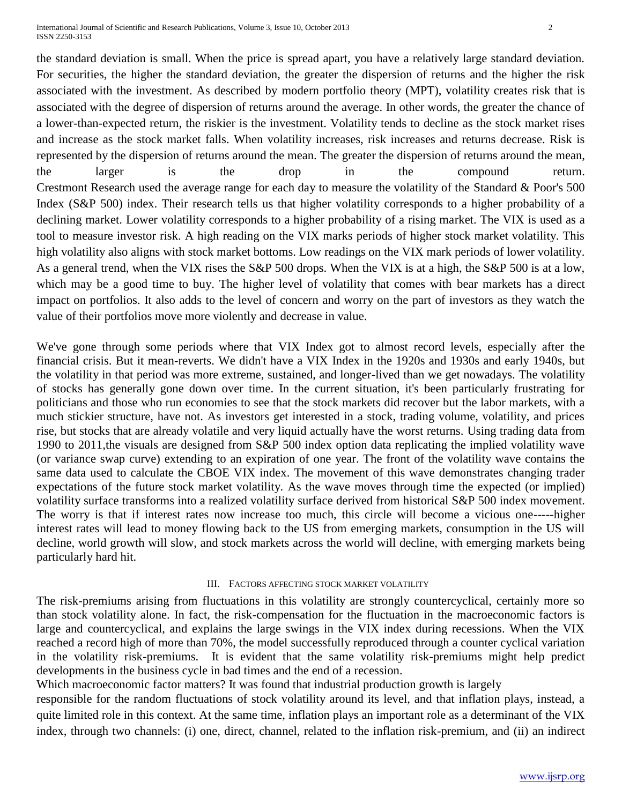ISSN 2250-3153

the standard deviation is small. When the price is spread apart, you have a relatively large standard deviation. For [securities,](http://www.investopedia.com/terms/s/security.asp#axzz1kxDvtIBY) the higher the standard deviation, the greater the dispersion of [returns](http://www.investopedia.com/terms/r/return.asp#axzz1kxDvtIBY) and the higher the risk associated with the investment. As described by [modern portfolio theory](http://www.investopedia.com/terms/m/modernportfoliotheory.asp) (MPT), volatility creates risk that is associated with the degree of dispersion of returns around the average. In other words, the greater the chance of a lower-than-expected return, the riskier is the investment. Volatility tends to decline as the stock market rises and increase as the stock market falls. When volatility increases, risk increases and returns decrease. Risk is represented by the dispersion of returns around the mean. The greater the dispersion of returns around the mean, the larger is the drop in the [compound return.](http://www.investopedia.com/terms/c/compoundreturn.asp) Crestmont Research used the average range for each day to measure the volatility of the [Standard & Poor's 500](http://www.investopedia.com/terms/s/sp500.asp)  [Index](http://www.investopedia.com/terms/s/sp500.asp) (S&P 500) index. Their research tells us that higher volatility corresponds to a higher probability of a declining market. Lower volatility corresponds to a higher probability of a rising market. The VIX is used as a tool to measure investor risk. A high reading on the VIX marks periods of higher stock market volatility. This high volatility also aligns with stock market bottoms. Low readings on the VIX mark periods of lower volatility. As a general trend, when the VIX rises the S&P 500 drops. When the VIX is at a high, the S&P 500 is at a low, which may be a good time to buy. The higher level of volatility that comes with [bear markets](http://www.investopedia.com/terms/b/bearmarket.asp#axzz1kxDvtIBY) has a direct impact on portfolios. It also adds to the level of concern and worry on the part of investors as they watch the value of their portfolios move more violently and decrease in value.

We've gone through some periods where that VIX Index got to almost record levels, especially after the financial crisis. But it mean-reverts. We didn't have a VIX Index in the 1920s and 1930s and early 1940s, but the volatility in that period was more extreme, sustained, and longer-lived than we get nowadays. The volatility of stocks has generally gone down over time. In the current situation, it's been particularly frustrating for politicians and those who run economies to see that the stock markets did recover but the labor markets, with a much stickier structure, have not. As investors get interested in a stock, trading volume, volatility, and prices rise, but stocks that are already volatile and very liquid actually have the worst returns. Using trading data from 1990 to 2011,the visuals are designed from S&P 500 index option data replicating the implied volatility wave (or variance swap curve) extending to an expiration of one year. The front of the volatility wave contains the same data used to calculate the CBOE VIX index. The movement of this wave demonstrates changing trader expectations of the future stock market volatility. As the wave moves through time the expected (or implied) volatility surface transforms into a realized volatility surface derived from historical S&P 500 index movement. The worry is that if interest rates now increase too much, this circle will become a vicious one-----higher interest rates will lead to money flowing back to the US from emerging markets, consumption in the US will decline, world growth will slow, and stock markets across the world will decline, with emerging markets being particularly hard hit.

#### III. FACTORS AFFECTING STOCK MARKET VOLATILITY

The risk-premiums arising from fluctuations in this volatility are strongly countercyclical, certainly more so than stock volatility alone. In fact, the risk-compensation for the fluctuation in the macroeconomic factors is large and countercyclical, and explains the large swings in the VIX index during recessions. When the VIX reached a record high of more than 70%, the model successfully reproduced through a counter cyclical variation in the volatility risk-premiums. It is evident that the same volatility risk-premiums might help predict developments in the business cycle in bad times and the end of a recession.

Which macroeconomic factor matters? It was found that industrial production growth is largely

responsible for the random fluctuations of stock volatility around its level, and that inflation plays, instead, a quite limited role in this context. At the same time, inflation plays an important role as a determinant of the VIX index, through two channels: (i) one, direct, channel, related to the inflation risk-premium, and (ii) an indirect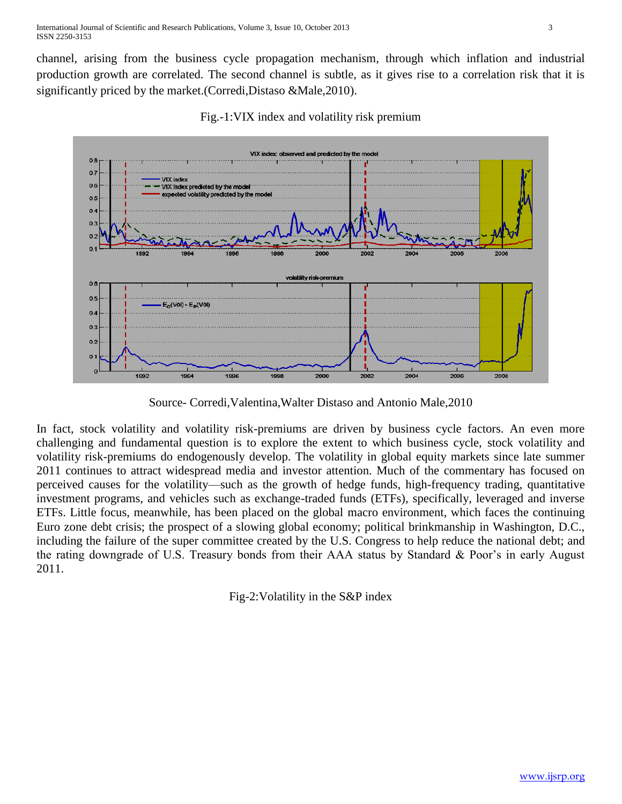channel, arising from the business cycle propagation mechanism, through which inflation and industrial production growth are correlated. The second channel is subtle, as it gives rise to a correlation risk that it is significantly priced by the market.(Corredi,Distaso &Male,2010).





Source- Corredi,Valentina,Walter Distaso and Antonio Male,2010

In fact, stock volatility and volatility risk-premiums are driven by business cycle factors. An even more challenging and fundamental question is to explore the extent to which business cycle, stock volatility and volatility risk-premiums do endogenously develop. The volatility in global equity markets since late summer 2011 continues to attract widespread media and investor attention. Much of the commentary has focused on perceived causes for the volatility—such as the growth of hedge funds, high-frequency trading, quantitative investment programs, and vehicles such as exchange-traded funds (ETFs), specifically, leveraged and inverse ETFs. Little focus, meanwhile, has been placed on the global macro environment, which faces the continuing Euro zone debt crisis; the prospect of a slowing global economy; political brinkmanship in Washington, D.C., including the failure of the super committee created by the U.S. Congress to help reduce the national debt; and the rating downgrade of U.S. Treasury bonds from their AAA status by Standard & Poor's in early August 2011.

Fig-2:Volatility in the S&P index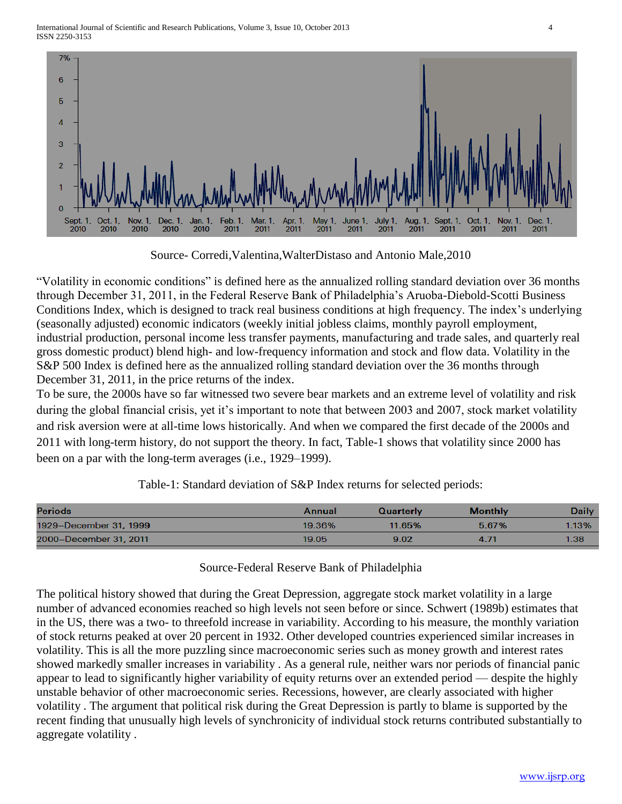International Journal of Scientific and Research Publications, Volume 3, Issue 10, October 2013 4 ISSN 2250-3153



Source- Corredi,Valentina,WalterDistaso and Antonio Male,2010

―Volatility in economic conditions‖ is defined here as the annualized rolling standard deviation over 36 months through December 31, 2011, in the Federal Reserve Bank of Philadelphia's Aruoba-Diebold-Scotti Business Conditions Index, which is designed to track real business conditions at high frequency. The index's underlying (seasonally adjusted) economic indicators (weekly initial jobless claims, monthly payroll employment, industrial production, personal income less transfer payments, manufacturing and trade sales, and quarterly real gross domestic product) blend high- and low-frequency information and stock and flow data. Volatility in the S&P 500 Index is defined here as the annualized rolling standard deviation over the 36 months through December 31, 2011, in the price returns of the index.

To be sure, the 2000s have so far witnessed two severe bear markets and an extreme level of volatility and risk during the global financial crisis, yet it's important to note that between 2003 and 2007, stock market volatility and risk aversion were at all-time lows historically. And when we compared the first decade of the 2000s and 2011 with long-term history, do not support the theory. In fact, Table-1 shows that volatility since 2000 has been on a par with the long-term averages (i.e., 1929–1999).

| <b>Periods</b>         | Annual | Quarterly | <b>Monthly</b> | Dailv |  |
|------------------------|--------|-----------|----------------|-------|--|
| 1929–December 31, 1999 | 19.36% | 11.65%    | 5.67%          | 1.13% |  |
| 2000-December 31, 2011 | 19.05  | 9.02      | 4.71           | 1.38  |  |

# Source-Federal Reserve Bank of Philadelphia

The political history showed that during the Great Depression, aggregate stock market volatility in a large number of advanced economies reached so high levels not seen before or since. Schwert (1989b) estimates that in the US, there was a two- to threefold increase in variability. According to his measure, the monthly variation of stock returns peaked at over 20 percent in 1932. Other developed countries experienced similar increases in volatility. This is all the more puzzling since macroeconomic series such as money growth and interest rates showed markedly smaller increases in variability . As a general rule, neither wars nor periods of financial panic appear to lead to significantly higher variability of equity returns over an extended period — despite the highly unstable behavior of other macroeconomic series. Recessions, however, are clearly associated with higher volatility . The argument that political risk during the Great Depression is partly to blame is supported by the recent finding that unusually high levels of synchronicity of individual stock returns contributed substantially to aggregate volatility .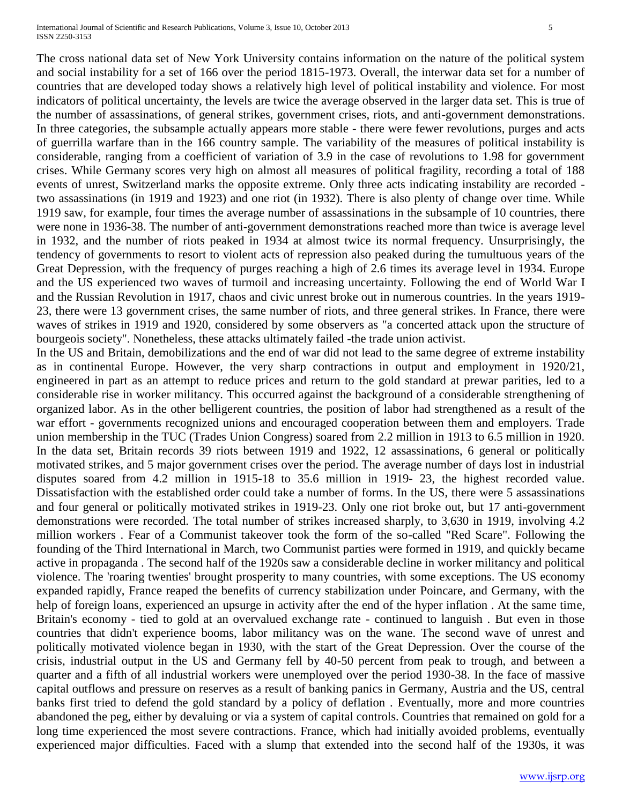The cross national data set of New York University contains information on the nature of the political system and social instability for a set of 166 over the period 1815-1973. Overall, the interwar data set for a number of countries that are developed today shows a relatively high level of political instability and violence. For most indicators of political uncertainty, the levels are twice the average observed in the larger data set. This is true of the number of assassinations, of general strikes, government crises, riots, and anti-government demonstrations. In three categories, the subsample actually appears more stable - there were fewer revolutions, purges and acts of guerrilla warfare than in the 166 country sample. The variability of the measures of political instability is considerable, ranging from a coefficient of variation of 3.9 in the case of revolutions to 1.98 for government crises. While Germany scores very high on almost all measures of political fragility, recording a total of 188 events of unrest, Switzerland marks the opposite extreme. Only three acts indicating instability are recorded two assassinations (in 1919 and 1923) and one riot (in 1932). There is also plenty of change over time. While 1919 saw, for example, four times the average number of assassinations in the subsample of 10 countries, there were none in 1936-38. The number of anti-government demonstrations reached more than twice is average level in 1932, and the number of riots peaked in 1934 at almost twice its normal frequency. Unsurprisingly, the tendency of governments to resort to violent acts of repression also peaked during the tumultuous years of the Great Depression, with the frequency of purges reaching a high of 2.6 times its average level in 1934. Europe and the US experienced two waves of turmoil and increasing uncertainty. Following the end of World War I and the Russian Revolution in 1917, chaos and civic unrest broke out in numerous countries. In the years 1919- 23, there were 13 government crises, the same number of riots, and three general strikes. In France, there were waves of strikes in 1919 and 1920, considered by some observers as "a concerted attack upon the structure of bourgeois society". Nonetheless, these attacks ultimately failed -the trade union activist.

In the US and Britain, demobilizations and the end of war did not lead to the same degree of extreme instability as in continental Europe. However, the very sharp contractions in output and employment in 1920/21, engineered in part as an attempt to reduce prices and return to the gold standard at prewar parities, led to a considerable rise in worker militancy. This occurred against the background of a considerable strengthening of organized labor. As in the other belligerent countries, the position of labor had strengthened as a result of the war effort - governments recognized unions and encouraged cooperation between them and employers. Trade union membership in the TUC (Trades Union Congress) soared from 2.2 million in 1913 to 6.5 million in 1920. In the data set, Britain records 39 riots between 1919 and 1922, 12 assassinations, 6 general or politically motivated strikes, and 5 major government crises over the period. The average number of days lost in industrial disputes soared from 4.2 million in 1915-18 to 35.6 million in 1919- 23, the highest recorded value. Dissatisfaction with the established order could take a number of forms. In the US, there were 5 assassinations and four general or politically motivated strikes in 1919-23. Only one riot broke out, but 17 anti-government demonstrations were recorded. The total number of strikes increased sharply, to 3,630 in 1919, involving 4.2 million workers . Fear of a Communist takeover took the form of the so-called "Red Scare". Following the founding of the Third International in March, two Communist parties were formed in 1919, and quickly became active in propaganda . The second half of the 1920s saw a considerable decline in worker militancy and political violence. The 'roaring twenties' brought prosperity to many countries, with some exceptions. The US economy expanded rapidly, France reaped the benefits of currency stabilization under Poincare, and Germany, with the help of foreign loans, experienced an upsurge in activity after the end of the hyper inflation . At the same time, Britain's economy - tied to gold at an overvalued exchange rate - continued to languish . But even in those countries that didn't experience booms, labor militancy was on the wane. The second wave of unrest and politically motivated violence began in 1930, with the start of the Great Depression. Over the course of the crisis, industrial output in the US and Germany fell by 40-50 percent from peak to trough, and between a quarter and a fifth of all industrial workers were unemployed over the period 1930-38. In the face of massive capital outflows and pressure on reserves as a result of banking panics in Germany, Austria and the US, central banks first tried to defend the gold standard by a policy of deflation . Eventually, more and more countries abandoned the peg, either by devaluing or via a system of capital controls. Countries that remained on gold for a long time experienced the most severe contractions. France, which had initially avoided problems, eventually experienced major difficulties. Faced with a slump that extended into the second half of the 1930s, it was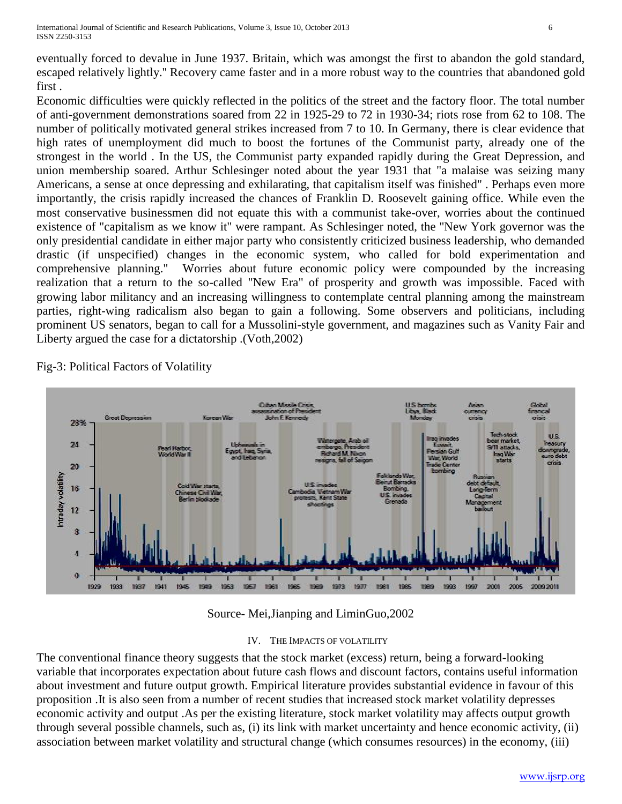eventually forced to devalue in June 1937. Britain, which was amongst the first to abandon the gold standard, escaped relatively lightly.'' Recovery came faster and in a more robust way to the countries that abandoned gold first .

Economic difficulties were quickly reflected in the politics of the street and the factory floor. The total number of anti-government demonstrations soared from 22 in 1925-29 to 72 in 1930-34; riots rose from 62 to 108. The number of politically motivated general strikes increased from 7 to 10. In Germany, there is clear evidence that high rates of unemployment did much to boost the fortunes of the Communist party, already one of the strongest in the world . In the US, the Communist party expanded rapidly during the Great Depression, and union membership soared. Arthur Schlesinger noted about the year 1931 that "a malaise was seizing many Americans, a sense at once depressing and exhilarating, that capitalism itself was finished" . Perhaps even more importantly, the crisis rapidly increased the chances of Franklin D. Roosevelt gaining office. While even the most conservative businessmen did not equate this with a communist take-over, worries about the continued existence of "capitalism as we know it" were rampant. As Schlesinger noted, the "New York governor was the only presidential candidate in either major party who consistently criticized business leadership, who demanded drastic (if unspecified) changes in the economic system, who called for bold experimentation and comprehensive planning." Worries about future economic policy were compounded by the increasing realization that a return to the so-called "New Era" of prosperity and growth was impossible. Faced with growing labor militancy and an increasing willingness to contemplate central planning among the mainstream parties, right-wing radicalism also began to gain a following. Some observers and politicians, including prominent US senators, began to call for a Mussolini-style government, and magazines such as Vanity Fair and Liberty argued the case for a dictatorship .(Voth,2002)

Fig-3: Political Factors of Volatility



Source- Mei,Jianping and LiminGuo,2002

# IV. THE IMPACTS OF VOLATILITY

The conventional finance theory suggests that the stock market (excess) return, being a forward-looking variable that incorporates expectation about future cash flows and discount factors, contains useful information about investment and future output growth. Empirical literature provides substantial evidence in favour of this proposition .It is also seen from a number of recent studies that increased stock market volatility depresses economic activity and output .As per the existing literature, stock market volatility may affects output growth through several possible channels, such as, (i) its link with market uncertainty and hence economic activity, (ii) association between market volatility and structural change (which consumes resources) in the economy, (iii)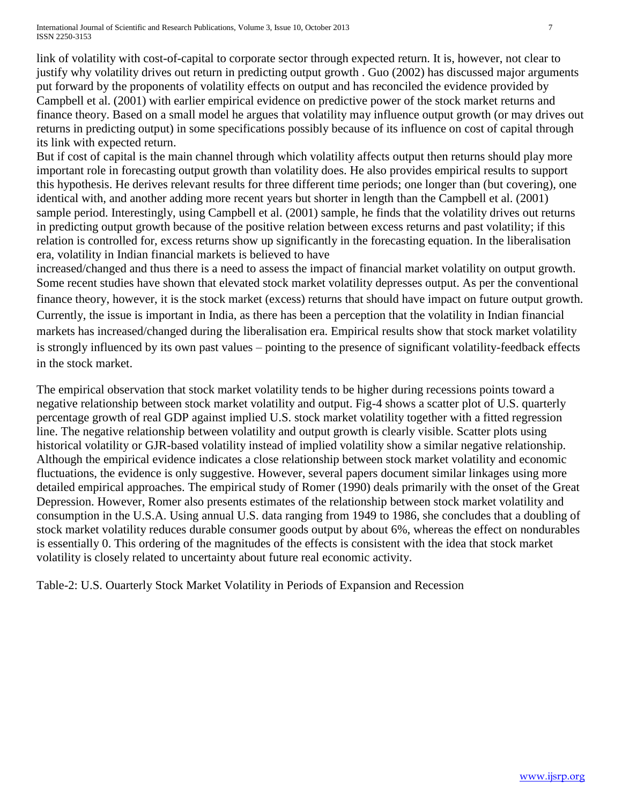International Journal of Scientific and Research Publications, Volume 3, Issue 10, October 2013 7 ISSN 2250-3153

link of volatility with cost-of-capital to corporate sector through expected return. It is, however, not clear to justify why volatility drives out return in predicting output growth. Guo (2002) has discussed major arguments put forward by the proponents of volatility effects on output and has reconciled the evidence provided by Campbell et al. (2001) with earlier empirical evidence on predictive power of the stock market returns and finance theory. Based on a small model he argues that volatility may influence output growth (or may drives out returns in predicting output) in some specifications possibly because of its influence on cost of capital through its link with expected return.

But if cost of capital is the main channel through which volatility affects output then returns should play more important role in forecasting output growth than volatility does. He also provides empirical results to support this hypothesis. He derives relevant results for three different time periods; one longer than (but covering), one identical with, and another adding more recent years but shorter in length than the Campbell et al. (2001) sample period. Interestingly, using Campbell et al. (2001) sample, he finds that the volatility drives out returns in predicting output growth because of the positive relation between excess returns and past volatility; if this relation is controlled for, excess returns show up significantly in the forecasting equation. In the liberalisation era, volatility in Indian financial markets is believed to have

increased/changed and thus there is a need to assess the impact of financial market volatility on output growth. Some recent studies have shown that elevated stock market volatility depresses output. As per the conventional finance theory, however, it is the stock market (excess) returns that should have impact on future output growth. Currently, the issue is important in India, as there has been a perception that the volatility in Indian financial markets has increased/changed during the liberalisation era. Empirical results show that stock market volatility is strongly influenced by its own past values – pointing to the presence of significant volatility-feedback effects in the stock market.

The empirical observation that stock market volatility tends to be higher during recessions points toward a negative relationship between stock market volatility and output. Fig-4 shows a scatter plot of U.S. quarterly percentage growth of real GDP against implied U.S. stock market volatility together with a fitted regression line. The negative relationship between volatility and output growth is clearly visible. Scatter plots using historical volatility or GJR-based volatility instead of implied volatility show a similar negative relationship. Although the empirical evidence indicates a close relationship between stock market volatility and economic fluctuations, the evidence is only suggestive. However, several papers document similar linkages using more detailed empirical approaches. The empirical study of Romer (1990) deals primarily with the onset of the Great Depression. However, Romer also presents estimates of the relationship between stock market volatility and consumption in the U.S.A. Using annual U.S. data ranging from 1949 to 1986, she concludes that a doubling of stock market volatility reduces durable consumer goods output by about 6%, whereas the effect on nondurables is essentially 0. This ordering of the magnitudes of the effects is consistent with the idea that stock market volatility is closely related to uncertainty about future real economic activity.

Table-2: U.S. Ouarterly Stock Market Volatility in Periods of Expansion and Recession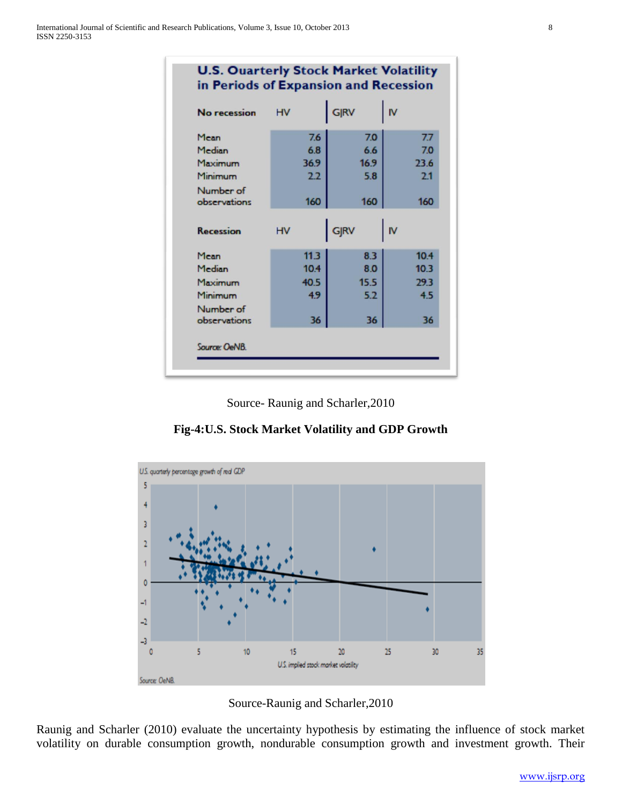| <b>U.S. Ouarterly Stock Market Volatility</b> |           |             |              |
|-----------------------------------------------|-----------|-------------|--------------|
| in Periods of Expansion and Recession         |           |             |              |
| No recession                                  | <b>HV</b> | <b>GJRV</b> | $\mathbf{N}$ |
| Mean                                          | 7.6       | 7.0         | 7.7          |
| Median                                        | 6.8       | 6.6         | 7.0          |
| Maximum                                       | 36.9      | 16.9        | 23.6         |
| Minimum                                       | 2.2       | 5.8         | 2.1          |
| Number of<br>observations                     | 160       | 160         | 160          |
| <b>Recession</b>                              | HV        | <b>GJRV</b> | $\mathsf{N}$ |
| Mean                                          | 11.3      | 8.3         | 10.4         |
| Median                                        | 10.4      | 8.0         | 10.3         |
| Maximum                                       | 40.5      | 15.5        | 29.3         |
| Minimum                                       | 4.9       | 5.2         | 4.5          |
| Number of                                     |           |             |              |
| observations                                  | 36        | 36          | 36           |

Source- Raunig and Scharler,2010

**Fig-4:U.S. Stock Market Volatility and GDP Growth**



Source-Raunig and Scharler,2010

Raunig and Scharler (2010) evaluate the uncertainty hypothesis by estimating the influence of stock market volatility on durable consumption growth, nondurable consumption growth and investment growth. Their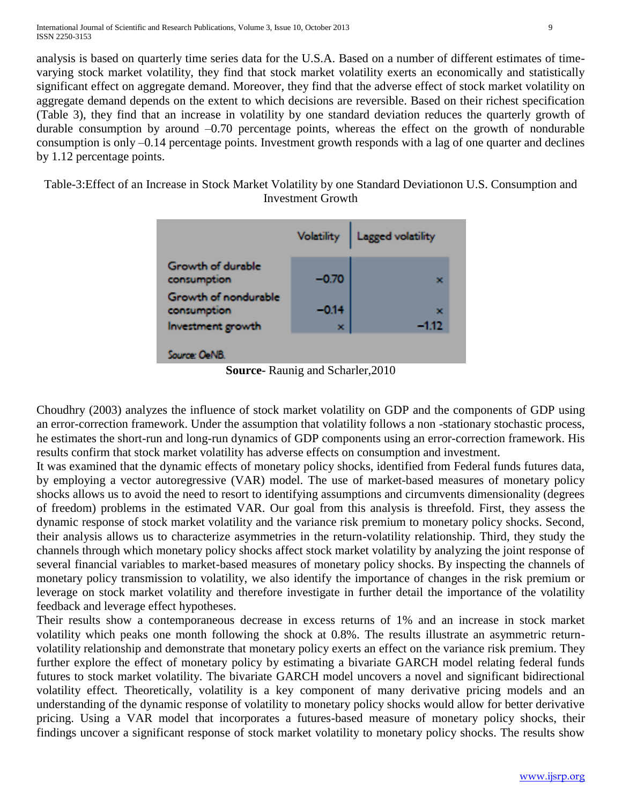analysis is based on quarterly time series data for the U.S.A. Based on a number of different estimates of timevarying stock market volatility, they find that stock market volatility exerts an economically and statistically significant effect on aggregate demand. Moreover, they find that the adverse effect of stock market volatility on aggregate demand depends on the extent to which decisions are reversible. Based on their richest specification (Table 3), they find that an increase in volatility by one standard deviation reduces the quarterly growth of durable consumption by around  $-0.70$  percentage points, whereas the effect on the growth of nondurable consumption is only –0.14 percentage points. Investment growth responds with a lag of one quarter and declines by 1.12 percentage points.

Table-3:Effect of an Increase in Stock Market Volatility by one Standard Deviationon U.S. Consumption and Investment Growth



**Source-** Raunig and Scharler,2010

Choudhry (2003) analyzes the influence of stock market volatility on GDP and the components of GDP using an error-correction framework. Under the assumption that volatility follows a non -stationary stochastic process, he estimates the short-run and long-run dynamics of GDP components using an error-correction framework. His results confirm that stock market volatility has adverse effects on consumption and investment.

It was examined that the dynamic effects of monetary policy shocks, identified from Federal funds futures data, by employing a vector autoregressive (VAR) model. The use of market-based measures of monetary policy shocks allows us to avoid the need to resort to identifying assumptions and circumvents dimensionality (degrees of freedom) problems in the estimated VAR. Our goal from this analysis is threefold. First, they assess the dynamic response of stock market volatility and the variance risk premium to monetary policy shocks. Second, their analysis allows us to characterize asymmetries in the return-volatility relationship. Third, they study the channels through which monetary policy shocks affect stock market volatility by analyzing the joint response of several financial variables to market-based measures of monetary policy shocks. By inspecting the channels of monetary policy transmission to volatility, we also identify the importance of changes in the risk premium or leverage on stock market volatility and therefore investigate in further detail the importance of the volatility feedback and leverage effect hypotheses.

Their results show a contemporaneous decrease in excess returns of 1% and an increase in stock market volatility which peaks one month following the shock at 0.8%. The results illustrate an asymmetric returnvolatility relationship and demonstrate that monetary policy exerts an effect on the variance risk premium. They further explore the effect of monetary policy by estimating a bivariate GARCH model relating federal funds futures to stock market volatility. The bivariate GARCH model uncovers a novel and significant bidirectional volatility effect. Theoretically, volatility is a key component of many derivative pricing models and an understanding of the dynamic response of volatility to monetary policy shocks would allow for better derivative pricing. Using a VAR model that incorporates a futures-based measure of monetary policy shocks, their findings uncover a significant response of stock market volatility to monetary policy shocks. The results show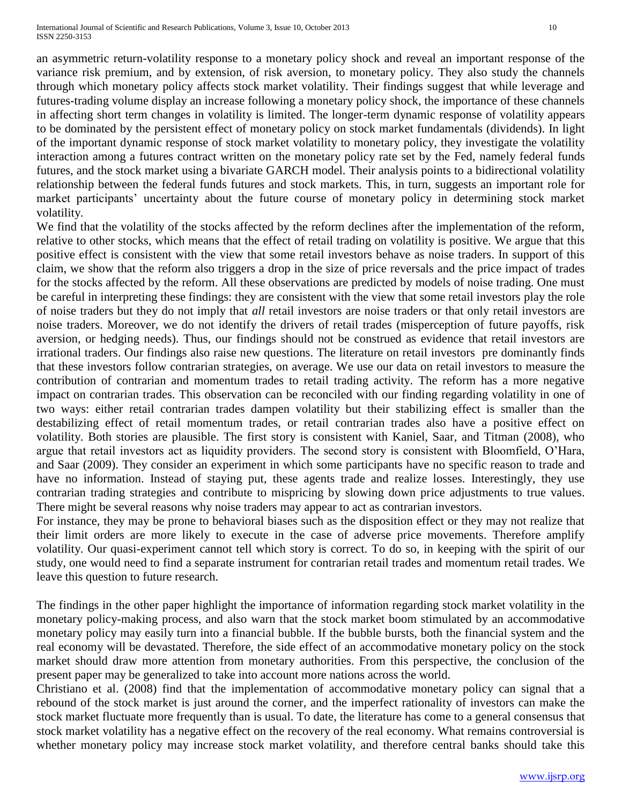an asymmetric return-volatility response to a monetary policy shock and reveal an important response of the variance risk premium, and by extension, of risk aversion, to monetary policy. They also study the channels through which monetary policy affects stock market volatility. Their findings suggest that while leverage and futures-trading volume display an increase following a monetary policy shock, the importance of these channels in affecting short term changes in volatility is limited. The longer-term dynamic response of volatility appears to be dominated by the persistent effect of monetary policy on stock market fundamentals (dividends). In light of the important dynamic response of stock market volatility to monetary policy, they investigate the volatility interaction among a futures contract written on the monetary policy rate set by the Fed, namely federal funds futures, and the stock market using a bivariate GARCH model. Their analysis points to a bidirectional volatility relationship between the federal funds futures and stock markets. This, in turn, suggests an important role for market participants' uncertainty about the future course of monetary policy in determining stock market volatility.

We find that the volatility of the stocks affected by the reform declines after the implementation of the reform, relative to other stocks, which means that the effect of retail trading on volatility is positive. We argue that this positive effect is consistent with the view that some retail investors behave as noise traders. In support of this claim, we show that the reform also triggers a drop in the size of price reversals and the price impact of trades for the stocks affected by the reform. All these observations are predicted by models of noise trading. One must be careful in interpreting these findings: they are consistent with the view that some retail investors play the role of noise traders but they do not imply that *all* retail investors are noise traders or that only retail investors are noise traders. Moreover, we do not identify the drivers of retail trades (misperception of future payoffs, risk aversion, or hedging needs). Thus, our findings should not be construed as evidence that retail investors are irrational traders. Our findings also raise new questions. The literature on retail investors pre dominantly finds that these investors follow contrarian strategies, on average. We use our data on retail investors to measure the contribution of contrarian and momentum trades to retail trading activity. The reform has a more negative impact on contrarian trades. This observation can be reconciled with our finding regarding volatility in one of two ways: either retail contrarian trades dampen volatility but their stabilizing effect is smaller than the destabilizing effect of retail momentum trades, or retail contrarian trades also have a positive effect on volatility. Both stories are plausible. The first story is consistent with Kaniel, Saar, and Titman (2008), who argue that retail investors act as liquidity providers. The second story is consistent with Bloomfield, O'Hara, and Saar (2009). They consider an experiment in which some participants have no specific reason to trade and have no information. Instead of staying put, these agents trade and realize losses. Interestingly, they use contrarian trading strategies and contribute to mispricing by slowing down price adjustments to true values. There might be several reasons why noise traders may appear to act as contrarian investors.

For instance, they may be prone to behavioral biases such as the disposition effect or they may not realize that their limit orders are more likely to execute in the case of adverse price movements. Therefore amplify volatility. Our quasi-experiment cannot tell which story is correct. To do so, in keeping with the spirit of our study, one would need to find a separate instrument for contrarian retail trades and momentum retail trades. We leave this question to future research.

The findings in the other paper highlight the importance of information regarding stock market volatility in the monetary policy-making process, and also warn that the stock market boom stimulated by an accommodative monetary policy may easily turn into a financial bubble. If the bubble bursts, both the financial system and the real economy will be devastated. Therefore, the side effect of an accommodative monetary policy on the stock market should draw more attention from monetary authorities. From this perspective, the conclusion of the present paper may be generalized to take into account more nations across the world.

Christiano et al. (2008) find that the implementation of accommodative monetary policy can signal that a rebound of the stock market is just around the corner, and the imperfect rationality of investors can make the stock market fluctuate more frequently than is usual. To date, the literature has come to a general consensus that stock market volatility has a negative effect on the recovery of the real economy. What remains controversial is whether monetary policy may increase stock market volatility, and therefore central banks should take this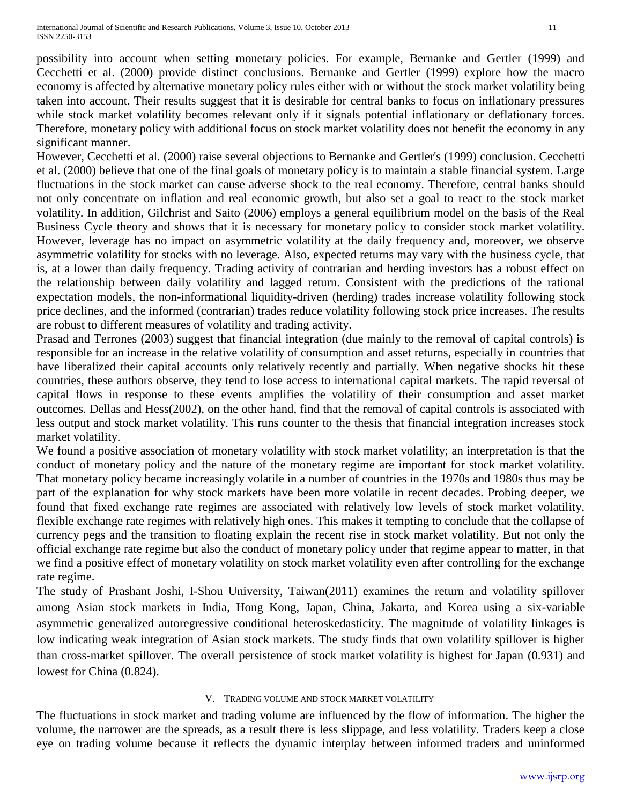International Journal of Scientific and Research Publications, Volume 3, Issue 10, October 2013 11 ISSN 2250-3153

possibility into account when setting monetary policies. For example, Bernanke and Gertler (1999) and Cecchetti et al. (2000) provide distinct conclusions. Bernanke and Gertler (1999) explore how the macro economy is affected by alternative monetary policy rules either with or without the stock market volatility being taken into account. Their results suggest that it is desirable for central banks to focus on inflationary pressures while stock market volatility becomes relevant only if it signals potential inflationary or deflationary forces. Therefore, monetary policy with additional focus on stock market volatility does not benefit the economy in any significant manner.

However, Cecchetti et al. (2000) raise several objections to Bernanke and Gertler's (1999) conclusion. Cecchetti et al. (2000) believe that one of the final goals of monetary policy is to maintain a stable financial system. Large fluctuations in the stock market can cause adverse shock to the real economy. Therefore, central banks should not only concentrate on inflation and real economic growth, but also set a goal to react to the stock market volatility. In addition, Gilchrist and Saito (2006) employs a general equilibrium model on the basis of the Real Business Cycle theory and shows that it is necessary for monetary policy to consider stock market volatility. However, leverage has no impact on asymmetric volatility at the daily frequency and, moreover, we observe asymmetric volatility for stocks with no leverage. Also, expected returns may vary with the business cycle, that is, at a lower than daily frequency. Trading activity of contrarian and herding investors has a robust effect on the relationship between daily volatility and lagged return. Consistent with the predictions of the rational expectation models, the non-informational liquidity-driven (herding) trades increase volatility following stock price declines, and the informed (contrarian) trades reduce volatility following stock price increases. The results are robust to different measures of volatility and trading activity.

Prasad and Terrones (2003) suggest that financial integration (due mainly to the removal of capital controls) is responsible for an increase in the relative volatility of consumption and asset returns, especially in countries that have liberalized their capital accounts only relatively recently and partially. When negative shocks hit these countries, these authors observe, they tend to lose access to international capital markets. The rapid reversal of capital flows in response to these events amplifies the volatility of their consumption and asset market outcomes. Dellas and Hess(2002), on the other hand, find that the removal of capital controls is associated with less output and stock market volatility. This runs counter to the thesis that financial integration increases stock market volatility.

We found a positive association of monetary volatility with stock market volatility; an interpretation is that the conduct of monetary policy and the nature of the monetary regime are important for stock market volatility. That monetary policy became increasingly volatile in a number of countries in the 1970s and 1980s thus may be part of the explanation for why stock markets have been more volatile in recent decades. Probing deeper, we found that fixed exchange rate regimes are associated with relatively low levels of stock market volatility, flexible exchange rate regimes with relatively high ones. This makes it tempting to conclude that the collapse of currency pegs and the transition to floating explain the recent rise in stock market volatility. But not only the official exchange rate regime but also the conduct of monetary policy under that regime appear to matter, in that we find a positive effect of monetary volatility on stock market volatility even after controlling for the exchange rate regime.

The study of Prashant Joshi, I-Shou University, Taiwan(2011) examines the return and volatility spillover among Asian stock markets in India, Hong Kong, Japan, China, Jakarta, and Korea using a six-variable asymmetric generalized autoregressive conditional heteroskedasticity. The magnitude of volatility linkages is low indicating weak integration of Asian stock markets. The study finds that own volatility spillover is higher than cross-market spillover. The overall persistence of stock market volatility is highest for Japan (0.931) and lowest for China (0.824).

# V. TRADING VOLUME AND STOCK MARKET VOLATILITY

The fluctuations in stock market and trading volume are influenced by the flow of information. The higher the volume, the narrower are the spreads, as a result there is less slippage, and less volatility. Traders keep a close eye on trading volume because it reflects the dynamic interplay between informed traders and uninformed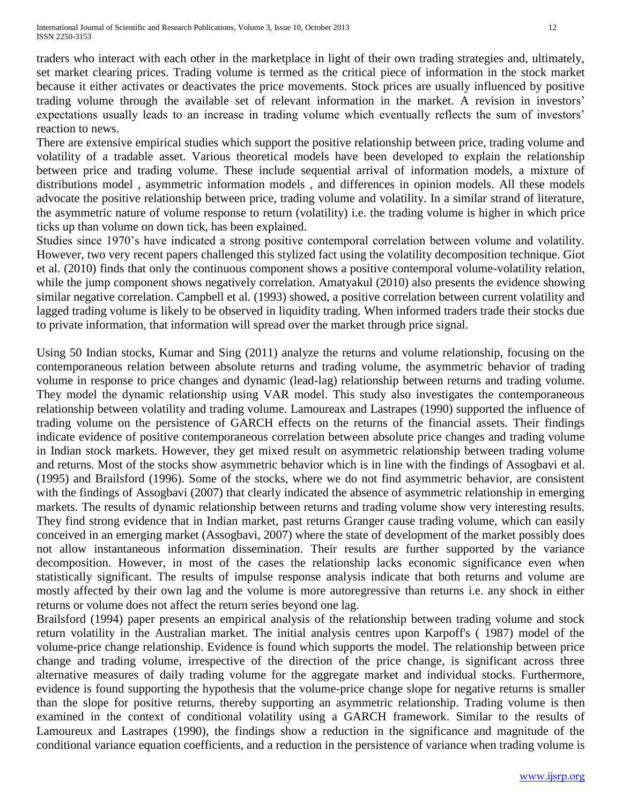traders who interact with each other in the marketplace in light of their own trading strategies and, ultimately, set market clearing prices. Trading volume is termed as the critical piece of information in the stock market because it either activates or deactivates the price movements. Stock prices are usually influenced by positive trading volume through the available set of relevant information in the market. A revision in investors' expectations usually leads to an increase in trading volume which eventually reflects the sum of investors' reaction to news.

There are extensive empirical studies which support the positive relationship between price, trading volume and volatility of a tradable asset. Various theoretical models have been developed to explain the relationship between price and trading volume. These include sequential arrival of information models, a mixture of distributions model , asymmetric information models , and differences in opinion models. All these models advocate the positive relationship between price, trading volume and volatility. In a similar strand of literature, the asymmetric nature of volume response to return (volatility) i.e. the trading volume is higher in which price ticks up than volume on down tick, has been explained.

Studies since 1970's have indicated a strong positive contemporal correlation between volume and volatility. However, two very recent papers challenged this stylized fact using the volatility decomposition technique. Giot et al. (2010) finds that only the continuous component shows a positive contemporal volume-volatility relation, while the jump component shows negatively correlation. Amatyakul (2010) also presents the evidence showing similar negative correlation. Campbell et al. (1993) showed, a positive correlation between current volatility and lagged trading volume is likely to be observed in liquidity trading. When informed traders trade their stocks due to private information, that information will spread over the market through price signal.

Using 50 Indian stocks, Kumar and Sing (2011) analyze the returns and volume relationship, focusing on the contemporaneous relation between absolute returns and trading volume, the asymmetric behavior of trading volume in response to price changes and dynamic (lead-lag) relationship between returns and trading volume. They model the dynamic relationship using VAR model. This study also investigates the contemporaneous relationship between volatility and trading volume. Lamoureax and Lastrapes (1990) supported the influence of trading volume on the persistence of GARCH effects on the returns of the financial assets. Their findings indicate evidence of positive contemporaneous correlation between absolute price changes and trading volume in Indian stock markets. However, they get mixed result on asymmetric relationship between trading volume and returns. Most of the stocks show asymmetric behavior which is in line with the findings of Assogbavi et al. (1995) and Brailsford (1996). Some of the stocks, where we do not find asymmetric behavior, are consistent with the findings of Assogbavi (2007) that clearly indicated the absence of asymmetric relationship in emerging markets. The results of dynamic relationship between returns and trading volume show very interesting results. They find strong evidence that in Indian market, past returns Granger cause trading volume, which can easily conceived in an emerging market (Assogbavi, 2007) where the state of development of the market possibly does not allow instantaneous information dissemination. Their results are further supported by the variance decomposition. However, in most of the cases the relationship lacks economic significance even when statistically significant. The results of impulse response analysis indicate that both returns and volume are mostly affected by their own lag and the volume is more autoregressive than returns i.e. any shock in either returns or volume does not affect the return series beyond one lag.

Brailsford (1994) paper presents an empirical analysis of the relationship between trading volume and stock return volatility in the Australian market. The initial analysis centres upon Karpoff's ( 1987) model of the volume-price change relationship. Evidence is found which supports the model. The relationship between price change and trading volume, irrespective of the direction of the price change, is significant across three alternative measures of daily trading volume for the aggregate market and individual stocks. Furthermore, evidence is found supporting the hypothesis that the volume-price change slope for negative returns is smaller than the slope for positive returns, thereby supporting an asymmetric relationship. Trading volume is then examined in the context of conditional volatility using a GARCH framework. Similar to the results of Lamoureux and Lastrapes (1990), the findings show a reduction in the significance and magnitude of the conditional variance equation coefficients, and a reduction in the persistence of variance when trading volume is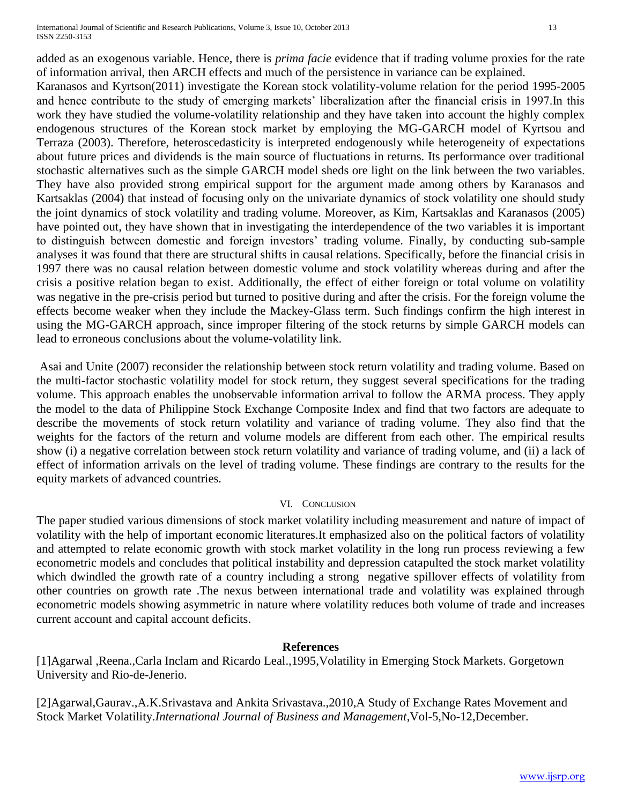added as an exogenous variable. Hence, there is *prima facie* evidence that if trading volume proxies for the rate of information arrival, then ARCH effects and much of the persistence in variance can be explained.

Karanasos and Kyrtson(2011) investigate the Korean stock volatility-volume relation for the period 1995-2005 and hence contribute to the study of emerging markets' liberalization after the financial crisis in 1997.In this work they have studied the volume-volatility relationship and they have taken into account the highly complex endogenous structures of the Korean stock market by employing the MG-GARCH model of Kyrtsou and Terraza (2003). Therefore, heteroscedasticity is interpreted endogenously while heterogeneity of expectations about future prices and dividends is the main source of fluctuations in returns. Its performance over traditional stochastic alternatives such as the simple GARCH model sheds ore light on the link between the two variables. They have also provided strong empirical support for the argument made among others by Karanasos and Kartsaklas (2004) that instead of focusing only on the univariate dynamics of stock volatility one should study the joint dynamics of stock volatility and trading volume. Moreover, as Kim, Kartsaklas and Karanasos (2005) have pointed out, they have shown that in investigating the interdependence of the two variables it is important to distinguish between domestic and foreign investors' trading volume. Finally, by conducting sub-sample analyses it was found that there are structural shifts in causal relations. Specifically, before the financial crisis in 1997 there was no causal relation between domestic volume and stock volatility whereas during and after the crisis a positive relation began to exist. Additionally, the effect of either foreign or total volume on volatility was negative in the pre-crisis period but turned to positive during and after the crisis. For the foreign volume the effects become weaker when they include the Mackey-Glass term. Such findings confirm the high interest in using the MG-GARCH approach, since improper filtering of the stock returns by simple GARCH models can lead to erroneous conclusions about the volume-volatility link.

Asai and Unite (2007) reconsider the relationship between stock return volatility and trading volume. Based on the multi-factor stochastic volatility model for stock return, they suggest several specifications for the trading volume. This approach enables the unobservable information arrival to follow the ARMA process. They apply the model to the data of Philippine Stock Exchange Composite Index and find that two factors are adequate to describe the movements of stock return volatility and variance of trading volume. They also find that the weights for the factors of the return and volume models are different from each other. The empirical results show (i) a negative correlation between stock return volatility and variance of trading volume, and (ii) a lack of effect of information arrivals on the level of trading volume. These findings are contrary to the results for the equity markets of advanced countries.

# VI. CONCLUSION

The paper studied various dimensions of stock market volatility including measurement and nature of impact of volatility with the help of important economic literatures.It emphasized also on the political factors of volatility and attempted to relate economic growth with stock market volatility in the long run process reviewing a few econometric models and concludes that political instability and depression catapulted the stock market volatility which dwindled the growth rate of a country including a strong negative spillover effects of volatility from other countries on growth rate .The nexus between international trade and volatility was explained through econometric models showing asymmetric in nature where volatility reduces both volume of trade and increases current account and capital account deficits.

# **References**

[1]Agarwal ,Reena.,Carla Inclam and Ricardo Leal.,1995,Volatility in Emerging Stock Markets. Gorgetown University and Rio-de-Jenerio.

[2]Agarwal,Gaurav.,A.K.Srivastava and Ankita Srivastava.,2010,A Study of Exchange Rates Movement and Stock Market Volatility.*International Journal of Business and Management*,Vol-5,No-12,December.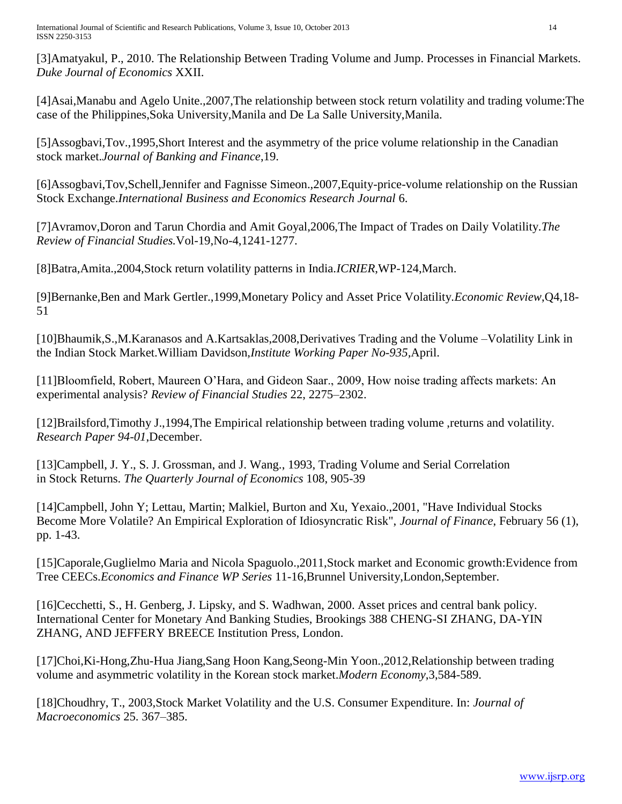International Journal of Scientific and Research Publications, Volume 3, Issue 10, October 2013 14 ISSN 2250-3153

[3]Amatyakul, P., 2010. The Relationship Between Trading Volume and Jump. Processes in Financial Markets. *Duke Journal of Economics* XXII.

[4]Asai,Manabu and Agelo Unite.,2007,The relationship between stock return volatility and trading volume:The case of the Philippines,Soka University,Manila and De La Salle University,Manila.

[5]Assogbavi,Tov.,1995,Short Interest and the asymmetry of the price volume relationship in the Canadian stock market.*Journal of Banking and Finance*,19.

[6]Assogbavi,Tov,Schell,Jennifer and Fagnisse Simeon.,2007,Equity-price-volume relationship on the Russian Stock Exchange.*International Business and Economics Research Journal* 6.

[7]Avramov,Doron and Tarun Chordia and Amit Goyal,2006,The Impact of Trades on Daily Volatility.*The Review of Financial Studies.*Vol-19,No-4,1241-1277.

[8]Batra,Amita.,2004,Stock return volatility patterns in India.*ICRIER*,WP-124,March.

[9]Bernanke,Ben and Mark Gertler.,1999,Monetary Policy and Asset Price Volatility.*Economic Review*,Q4,18- 51

[10]Bhaumik,S.,M.Karanasos and A.Kartsaklas,2008,Derivatives Trading and the Volume –Volatility Link in the Indian Stock Market.William Davidson,*Institute Working Paper No-935,*April.

[11]Bloomfield, Robert, Maureen O'Hara, and Gideon Saar., 2009, How noise trading affects markets: An experimental analysis? *Review of Financial Studies* 22, 2275–2302.

[12]Brailsford,Timothy J.,1994,The Empirical relationship between trading volume ,returns and volatility. *Research Paper 94-01*,December.

[13]Campbell, J. Y., S. J. Grossman, and J. Wang., 1993, Trading Volume and Serial Correlation in Stock Returns. *The Quarterly Journal of Economics* 108, 905-39

[14]Campbell, John Y; Lettau, Martin; Malkiel, Burton and Xu, Yexaio.,2001, "Have Individual Stocks Become More Volatile? An Empirical Exploration of Idiosyncratic Risk", *Journal of Finance*, February 56 (1), pp. 1-43.

[15]Caporale,Guglielmo Maria and Nicola Spaguolo.,2011,Stock market and Economic growth:Evidence from Tree CEECs.*Economics and Finance WP Series* 11-16,Brunnel University,London,September.

[16]Cecchetti, S., H. Genberg, J. Lipsky, and S. Wadhwan, 2000. Asset prices and central bank policy. International Center for Monetary And Banking Studies, Brookings 388 CHENG-SI ZHANG, DA-YIN ZHANG, AND JEFFERY BREECE Institution Press, London.

[17]Choi,Ki-Hong,Zhu-Hua Jiang,Sang Hoon Kang,Seong-Min Yoon.,2012,Relationship between trading volume and asymmetric volatility in the Korean stock market.*Modern Economy*,3,584-589.

[18]Choudhry, T., 2003,Stock Market Volatility and the U.S. Consumer Expenditure. In: *Journal of Macroeconomics* 25. 367–385.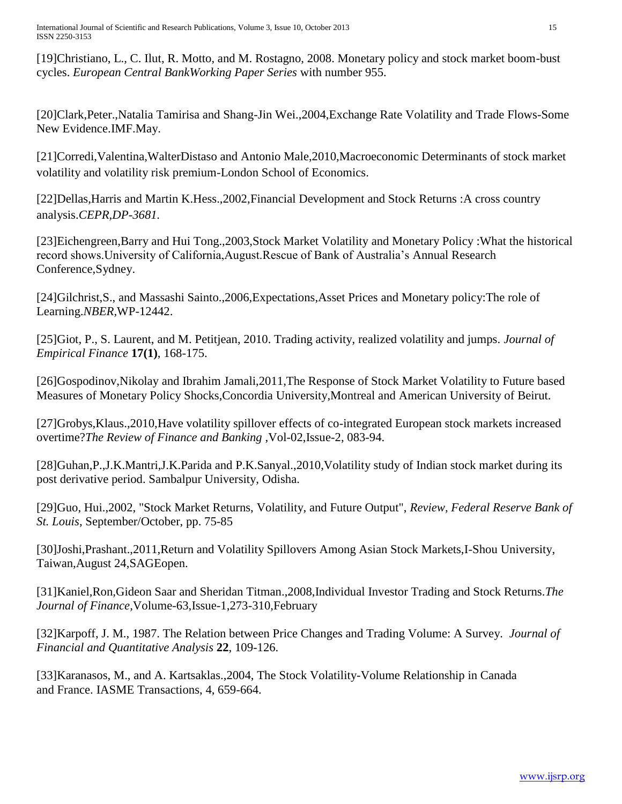[19]Christiano, L., C. Ilut, R. Motto, and M. Rostagno, 2008. Monetary policy and stock market boom-bust cycles. *European Central BankWorking Paper Series* with number 955.

[20]Clark,Peter.,Natalia Tamirisa and Shang-Jin Wei.,2004,Exchange Rate Volatility and Trade Flows-Some New Evidence.IMF.May.

[21]Corredi,Valentina,WalterDistaso and Antonio Male,2010,Macroeconomic Determinants of stock market volatility and volatility risk premium-London School of Economics.

[22]Dellas,Harris and Martin K.Hess.,2002,Financial Development and Stock Returns :A cross country analysis.*CEPR,DP-3681.*

[23]Eichengreen,Barry and Hui Tong.,2003,Stock Market Volatility and Monetary Policy :What the historical record shows.University of California,August.Rescue of Bank of Australia's Annual Research Conference,Sydney.

[24]Gilchrist,S., and Massashi Sainto.,2006,Expectations,Asset Prices and Monetary policy:The role of Learning.*NBER,*WP-12442.

[25]Giot, P., S. Laurent, and M. Petitjean, 2010. Trading activity, realized volatility and jumps. *Journal of Empirical Finance* **17(1)**, 168-175.

[26]Gospodinov,Nikolay and Ibrahim Jamali,2011,The Response of Stock Market Volatility to Future based Measures of Monetary Policy Shocks,Concordia University,Montreal and American University of Beirut.

[27]Grobys,Klaus.,2010,Have volatility spillover effects of co-integrated European stock markets increased overtime?*The Review of Finance and Banking* ,Vol-02,Issue-2, 083-94.

[28]Guhan,P.,J.K.Mantri,J.K.Parida and P.K.Sanyal.,2010,Volatility study of Indian stock market during its post derivative period. Sambalpur University, Odisha.

[29]Guo, Hui.,2002, "Stock Market Returns, Volatility, and Future Output", *Review, Federal Reserve Bank of St. Louis*, September/October, pp. 75-85

[30]Joshi,Prashant.,2011,Return and Volatility Spillovers Among Asian Stock Markets,I-Shou University, Taiwan,August 24,SAGEopen.

[31]Kaniel,Ron,Gideon Saar and Sheridan Titman.,2008,Individual Investor Trading and Stock Returns.*The Journal of Finance*,Volume-63,Issue-1,273-310,February

[32]Karpoff, J. M., 1987. The Relation between Price Changes and Trading Volume: A Survey. *Journal of Financial and Quantitative Analysis* **22**, 109-126.

[33]Karanasos, M., and A. Kartsaklas.,2004, The Stock Volatility-Volume Relationship in Canada and France. IASME Transactions, 4, 659-664.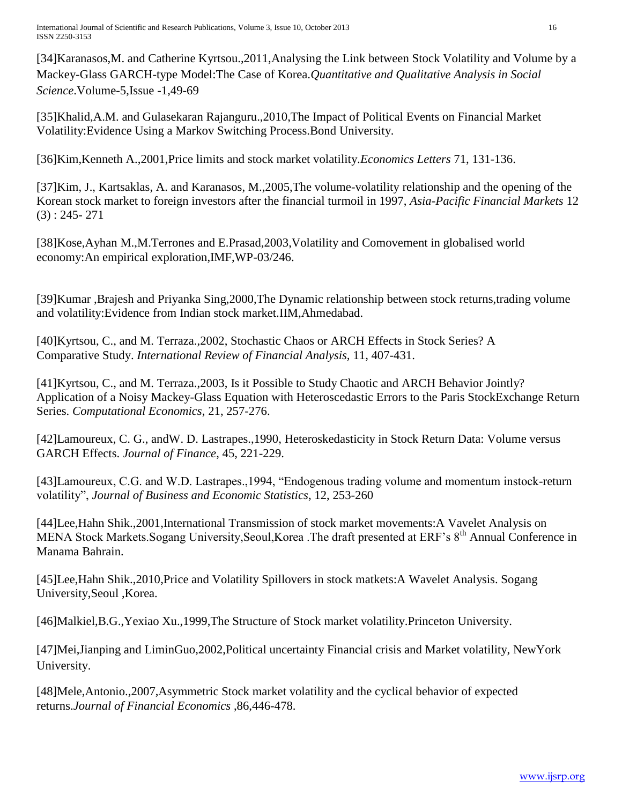International Journal of Scientific and Research Publications, Volume 3, Issue 10, October 2013 16 ISSN 2250-3153

[34]Karanasos,M. and Catherine Kyrtsou.,2011,Analysing the Link between Stock Volatility and Volume by a Mackey-Glass GARCH-type Model:The Case of Korea.*Quantitative and Qualitative Analysis in Social Science*.Volume-5,Issue -1,49-69

[35]Khalid,A.M. and Gulasekaran Rajanguru.,2010,The Impact of Political Events on Financial Market Volatility:Evidence Using a Markov Switching Process.Bond University.

[36]Kim,Kenneth A.,2001,Price limits and stock market volatility.*Economics Letters* 71, 131-136.

[37]Kim, J., Kartsaklas, A. and Karanasos, M.,2005,The volume-volatility relationship and the opening of the Korean stock market to foreign investors after the financial turmoil in 1997, *Asia-Pacific Financial Markets* 12  $(3) : 245 - 271$ 

[38]Kose,Ayhan M.,M.Terrones and E.Prasad,2003,Volatility and Comovement in globalised world economy:An empirical exploration,IMF,WP-03/246.

[39]Kumar ,Brajesh and Priyanka Sing,2000,The Dynamic relationship between stock returns,trading volume and volatility:Evidence from Indian stock market.IIM,Ahmedabad.

[40]Kyrtsou, C., and M. Terraza.,2002, Stochastic Chaos or ARCH Effects in Stock Series? A Comparative Study. *International Review of Financial Analysis,* 11, 407-431.

[41]Kyrtsou, C., and M. Terraza.,2003, Is it Possible to Study Chaotic and ARCH Behavior Jointly? Application of a Noisy Mackey-Glass Equation with Heteroscedastic Errors to the Paris StockExchange Return Series. *Computational Economics*, 21, 257-276.

[42]Lamoureux, C. G., andW. D. Lastrapes.,1990, Heteroskedasticity in Stock Return Data: Volume versus GARCH Effects. *Journal of Finance*, 45, 221-229.

[43]Lamoureux, C.G. and W.D. Lastrapes.,1994, "Endogenous trading volume and momentum instock-return volatility", *Journal of Business and Economic Statistics*, 12, 253-260

[44]Lee,Hahn Shik.,2001,International Transmission of stock market movements:A Vavelet Analysis on MENA Stock Markets. Sogang University, Seoul, Korea . The draft presented at ERF's 8<sup>th</sup> Annual Conference in Manama Bahrain.

[45]Lee,Hahn Shik.,2010,Price and Volatility Spillovers in stock matkets:A Wavelet Analysis. Sogang University,Seoul ,Korea.

[46]Malkiel,B.G.,Yexiao Xu.,1999,The Structure of Stock market volatility.Princeton University.

[47]Mei,Jianping and LiminGuo,2002,Political uncertainty Financial crisis and Market volatility, NewYork University.

[48]Mele,Antonio.,2007,Asymmetric Stock market volatility and the cyclical behavior of expected returns.*Journal of Financial Economics* ,86,446-478.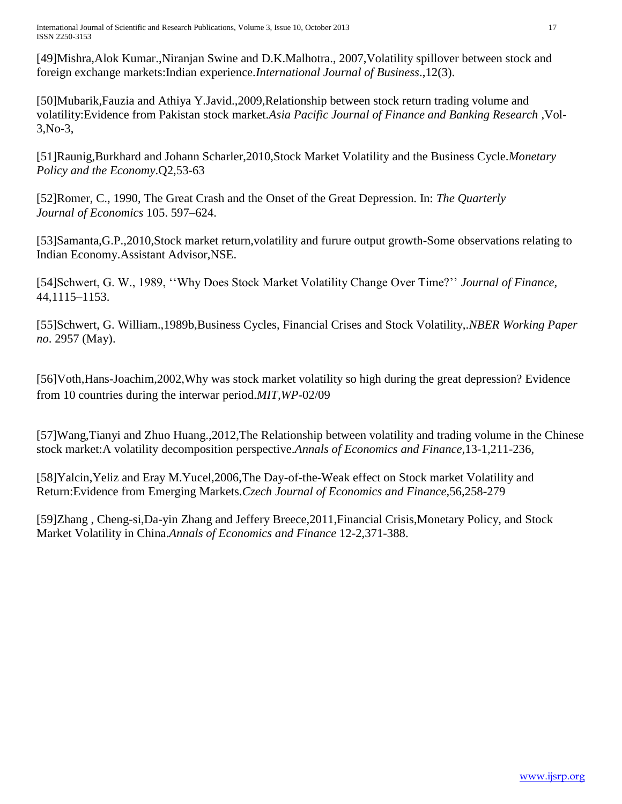[49]Mishra,Alok Kumar.,Niranjan Swine and D.K.Malhotra., 2007,Volatility spillover between stock and foreign exchange markets:Indian experience.*International Journal of Business*.,12(3).

[50]Mubarik,Fauzia and Athiya Y.Javid.,2009,Relationship between stock return trading volume and volatility:Evidence from Pakistan stock market.*Asia Pacific Journal of Finance and Banking Research* ,Vol-3,No-3,

[51]Raunig,Burkhard and Johann Scharler,2010,Stock Market Volatility and the Business Cycle.*Monetary Policy and the Economy*.Q2,53-63

[52]Romer, C., 1990, The Great Crash and the Onset of the Great Depression. In: *The Quarterly Journal of Economics* 105. 597–624.

[53]Samanta,G.P.,2010,Stock market return,volatility and furure output growth-Some observations relating to Indian Economy.Assistant Advisor,NSE.

[54]Schwert, G. W., 1989, "Why Does Stock Market Volatility Change Over Time?" *Journal of Finance*, 44,1115–1153.

[55]Schwert, G. William.,1989b,Business Cycles, Financial Crises and Stock Volatility,.*NBER Working Paper no*. 2957 (May).

[56]Voth,Hans-Joachim,2002,Why was stock market volatility so high during the great depression? Evidence from 10 countries during the interwar period.*MIT,WP*-02/09

[57]Wang,Tianyi and Zhuo Huang.,2012,The Relationship between volatility and trading volume in the Chinese stock market:A volatility decomposition perspective.*Annals of Economics and Finance,*13-1,211-236,

[58]Yalcin,Yeliz and Eray M.Yucel,2006,The Day-of-the-Weak effect on Stock market Volatility and Return:Evidence from Emerging Markets.*Czech Journal of Economics and Finance*,56,258-279

[59]Zhang , Cheng-si,Da-yin Zhang and Jeffery Breece,2011,Financial Crisis,Monetary Policy, and Stock Market Volatility in China.*Annals of Economics and Finance* 12-2,371-388.